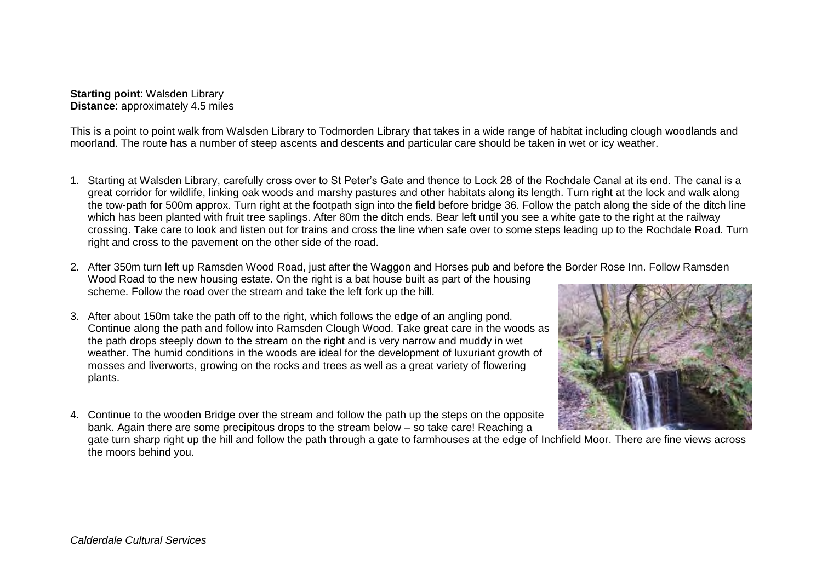**Starting point**: Walsden Library **Distance**: approximately 4.5 miles

This is a point to point walk from Walsden Library to Todmorden Library that takes in a wide range of habitat including clough woodlands and moorland. The route has a number of steep ascents and descents and particular care should be taken in wet or icy weather.

- 1. Starting at Walsden Library, carefully cross over to St Peter's Gate and thence to Lock 28 of the Rochdale Canal at its end. The canal is a great corridor for wildlife, linking oak woods and marshy pastures and other habitats along its length. Turn right at the lock and walk along the tow-path for 500m approx. Turn right at the footpath sign into the field before bridge 36. Follow the patch along the side of the ditch line which has been planted with fruit tree saplings. After 80m the ditch ends. Bear left until you see a white gate to the right at the railway crossing. Take care to look and listen out for trains and cross the line when safe over to some steps leading up to the Rochdale Road. Turn right and cross to the pavement on the other side of the road.
- 2. After 350m turn left up Ramsden Wood Road, just after the Waggon and Horses pub and before the Border Rose Inn. Follow Ramsden Wood Road to the new housing estate. On the right is a bat house built as part of the housing scheme. Follow the road over the stream and take the left fork up the hill.
- 3. After about 150m take the path off to the right, which follows the edge of an angling pond. Continue along the path and follow into Ramsden Clough Wood. Take great care in the woods as the path drops steeply down to the stream on the right and is very narrow and muddy in wet weather. The humid conditions in the woods are ideal for the development of luxuriant growth of mosses and liverworts, growing on the rocks and trees as well as a great variety of flowering plants.
- 
- 4. Continue to the wooden Bridge over the stream and follow the path up the steps on the opposite bank. Again there are some precipitous drops to the stream below – so take care! Reaching a

gate turn sharp right up the hill and follow the path through a gate to farmhouses at the edge of Inchfield Moor. There are fine views across the moors behind you.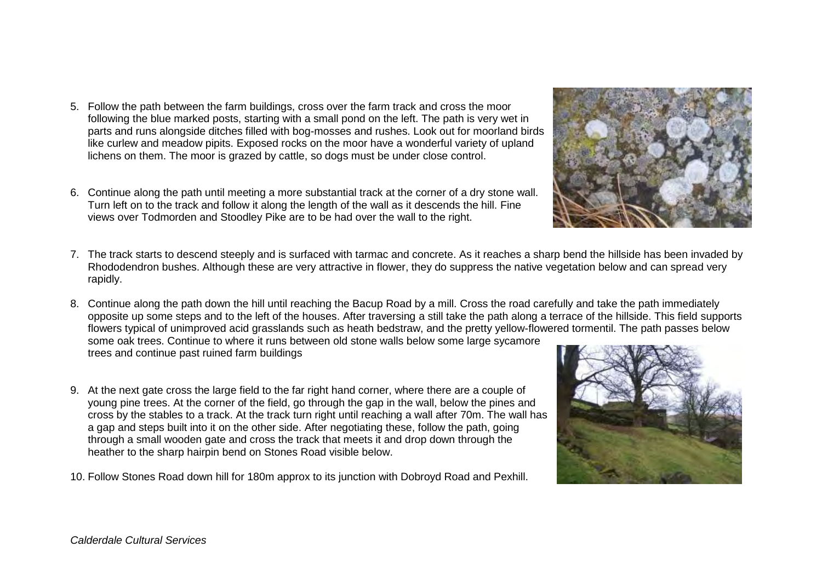- 5. Follow the path between the farm buildings, cross over the farm track and cross the moor following the blue marked posts, starting with a small pond on the left. The path is very wet in parts and runs alongside ditches filled with bog-mosses and rushes. Look out for moorland birds like curlew and meadow pipits. Exposed rocks on the moor have a wonderful variety of upland lichens on them. The moor is grazed by cattle, so dogs must be under close control.
- 6. Continue along the path until meeting a more substantial track at the corner of a dry stone wall. Turn left on to the track and follow it along the length of the wall as it descends the hill. Fine views over Todmorden and Stoodley Pike are to be had over the wall to the right.
- 7. The track starts to descend steeply and is surfaced with tarmac and concrete. As it reaches a sharp bend the hillside has been invaded by Rhododendron bushes. Although these are very attractive in flower, they do suppress the native vegetation below and can spread very rapidly.
- 8. Continue along the path down the hill until reaching the Bacup Road by a mill. Cross the road carefully and take the path immediately opposite up some steps and to the left of the houses. After traversing a still take the path along a terrace of the hillside. This field supports flowers typical of unimproved acid grasslands such as heath bedstraw, and the pretty yellow-flowered tormentil. The path passes below some oak trees. Continue to where it runs between old stone walls below some large sycamore trees and continue past ruined farm buildings
- 9. At the next gate cross the large field to the far right hand corner, where there are a couple of young pine trees. At the corner of the field, go through the gap in the wall, below the pines and cross by the stables to a track. At the track turn right until reaching a wall after 70m. The wall has a gap and steps built into it on the other side. After negotiating these, follow the path, going through a small wooden gate and cross the track that meets it and drop down through the heather to the sharp hairpin bend on Stones Road visible below.
- 10. Follow Stones Road down hill for 180m approx to its junction with Dobroyd Road and Pexhill.